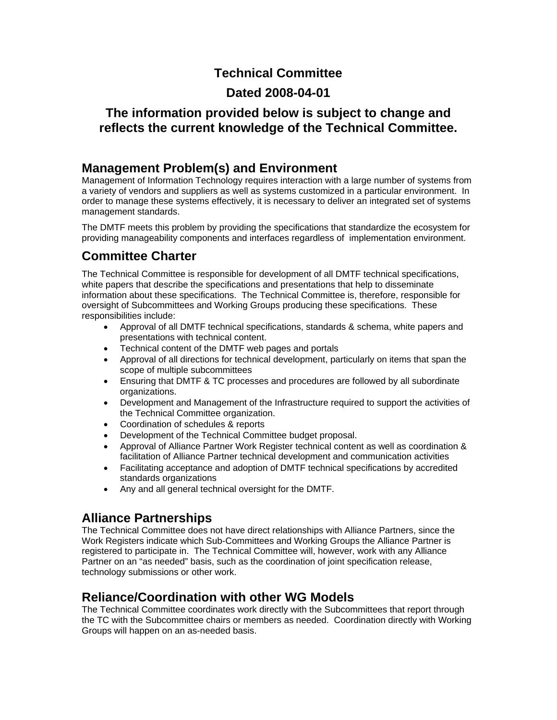## **Technical Committee**

## **Dated 2008-04-01**

## **The information provided below is subject to change and reflects the current knowledge of the Technical Committee.**

## **Management Problem(s) and Environment**

Management of Information Technology requires interaction with a large number of systems from a variety of vendors and suppliers as well as systems customized in a particular environment. In order to manage these systems effectively, it is necessary to deliver an integrated set of systems management standards.

The DMTF meets this problem by providing the specifications that standardize the ecosystem for providing manageability components and interfaces regardless of implementation environment.

# **Committee Charter**

The Technical Committee is responsible for development of all DMTF technical specifications, white papers that describe the specifications and presentations that help to disseminate information about these specifications. The Technical Committee is, therefore, responsible for oversight of Subcommittees and Working Groups producing these specifications. These responsibilities include:

- Approval of all DMTF technical specifications, standards & schema, white papers and presentations with technical content.
- Technical content of the DMTF web pages and portals
- Approval of all directions for technical development, particularly on items that span the scope of multiple subcommittees
- Ensuring that DMTF & TC processes and procedures are followed by all subordinate organizations.
- Development and Management of the Infrastructure required to support the activities of the Technical Committee organization.
- Coordination of schedules & reports
- Development of the Technical Committee budget proposal.
- Approval of Alliance Partner Work Register technical content as well as coordination & facilitation of Alliance Partner technical development and communication activities
- Facilitating acceptance and adoption of DMTF technical specifications by accredited standards organizations
- Any and all general technical oversight for the DMTF.

## **Alliance Partnerships**

The Technical Committee does not have direct relationships with Alliance Partners, since the Work Registers indicate which Sub-Committees and Working Groups the Alliance Partner is registered to participate in. The Technical Committee will, however, work with any Alliance Partner on an "as needed" basis, such as the coordination of joint specification release, technology submissions or other work.

## **Reliance/Coordination with other WG Models**

The Technical Committee coordinates work directly with the Subcommittees that report through the TC with the Subcommittee chairs or members as needed. Coordination directly with Working Groups will happen on an as-needed basis.